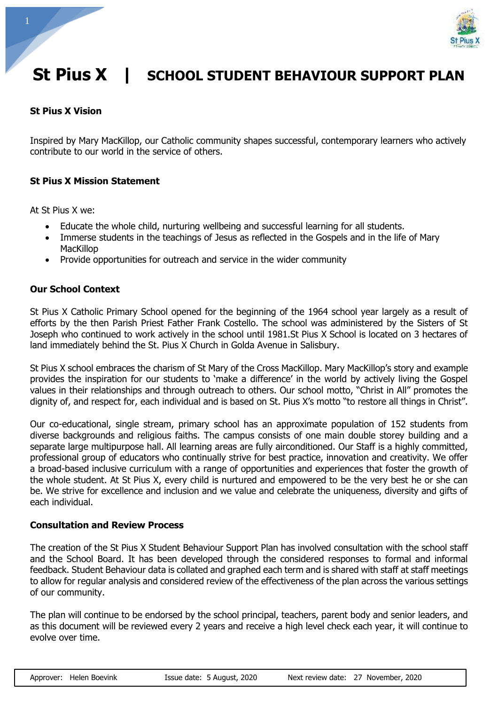

# **St Pius X | SCHOOL STUDENT BEHAVIOUR SUPPORT PLAN**

### **St Pius X Vision**

Inspired by Mary MacKillop, our Catholic community shapes successful, contemporary learners who actively contribute to our world in the service of others.

#### **St Pius X Mission Statement**

At St Pius X we:

- Educate the whole child, nurturing wellbeing and successful learning for all students.
- Immerse students in the teachings of Jesus as reflected in the Gospels and in the life of Mary MacKillop
- Provide opportunities for outreach and service in the wider community

#### **Our School Context**

St Pius X Catholic Primary School opened for the beginning of the 1964 school year largely as a result of efforts by the then Parish Priest Father Frank Costello. The school was administered by the Sisters of St Joseph who continued to work actively in the school until 1981.St Pius X School is located on 3 hectares of land immediately behind the St. Pius X Church in Golda Avenue in Salisbury.

St Pius X school embraces the charism of St Mary of the Cross MacKillop. Mary MacKillop's story and example provides the inspiration for our students to 'make a difference' in the world by actively living the Gospel values in their relationships and through outreach to others. Our school motto, "Christ in All" promotes the dignity of, and respect for, each individual and is based on St. Pius X's motto "to restore all things in Christ".

Our co-educational, single stream, primary school has an approximate population of 152 students from diverse backgrounds and religious faiths. The campus consists of one main double storey building and a separate large multipurpose hall. All learning areas are fully airconditioned. Our Staff is a highly committed, professional group of educators who continually strive for best practice, innovation and creativity. We offer a broad-based inclusive curriculum with a range of opportunities and experiences that foster the growth of the whole student. At St Pius X, every child is nurtured and empowered to be the very best he or she can be. We strive for excellence and inclusion and we value and celebrate the uniqueness, diversity and gifts of each individual.

#### **Consultation and Review Process**

The creation of the St Pius X Student Behaviour Support Plan has involved consultation with the school staff and the School Board. It has been developed through the considered responses to formal and informal feedback. Student Behaviour data is collated and graphed each term and is shared with staff at staff meetings to allow for regular analysis and considered review of the effectiveness of the plan across the various settings of our community.

The plan will continue to be endorsed by the school principal, teachers, parent body and senior leaders, and as this document will be reviewed every 2 years and receive a high level check each year, it will continue to evolve over time.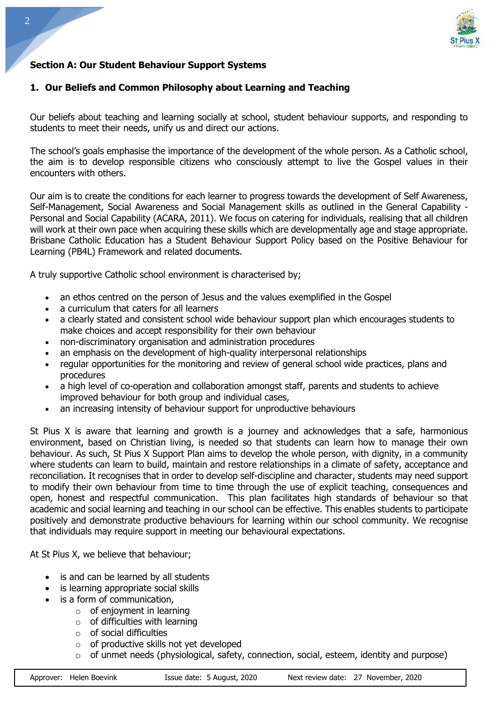

# **Section A: Our Student Behaviour Support Systems**

#### **1. Our Beliefs and Common Philosophy about Learning and Teaching**

Our beliefs about teaching and learning socially at school, student behaviour supports, and responding to students to meet their needs, unify us and direct our actions.

The school's goals emphasise the importance of the development of the whole person. As a Catholic school, the aim is to develop responsible citizens who consciously attempt to live the Gospel values in their encounters with others.

Our aim is to create the conditions for each learner to progress towards the development of Self Awareness, Self-Management, Social Awareness and Social Management skills as outlined in the General Capability - Personal and Social Capability (ACARA, 2011). We focus on catering for individuals, realising that all children will work at their own pace when acquiring these skills which are developmentally age and stage appropriate. Brisbane Catholic Education has a Student Behaviour Support Policy based on the Positive Behaviour for Learning (PB4L) Framework and related documents.

A truly supportive Catholic school environment is characterised by;

- an ethos centred on the person of Jesus and the values exemplified in the Gospel
- a curriculum that caters for all learners
- a clearly stated and consistent school wide behaviour support plan which encourages students to make choices and accept responsibility for their own behaviour
- non-discriminatory organisation and administration procedures
- an emphasis on the development of high-quality interpersonal relationships
- regular opportunities for the monitoring and review of general school wide practices, plans and procedures
- a high level of co-operation and collaboration amongst staff, parents and students to achieve improved behaviour for both group and individual cases,
- an increasing intensity of behaviour support for unproductive behaviours

St Pius X is aware that learning and growth is a journey and acknowledges that a safe, harmonious environment, based on Christian living, is needed so that students can learn how to manage their own behaviour. As such, St Pius X Support Plan aims to develop the whole person, with dignity, in a community where students can learn to build, maintain and restore relationships in a climate of safety, acceptance and reconciliation. It recognises that in order to develop self-discipline and character, students may need support to modify their own behaviour from time to time through the use of explicit teaching, consequences and open, honest and respectful communication. This plan facilitates high standards of behaviour so that academic and social learning and teaching in our school can be effective. This enables students to participate positively and demonstrate productive behaviours for learning within our school community. We recognise that individuals may require support in meeting our behavioural expectations.

At St Pius X, we believe that behaviour;

- is and can be learned by all students
- is learning appropriate social skills
- is a form of communication,
	- $\circ$  of enjoyment in learning
	- $\circ$  of difficulties with learning
	- $\circ$  of social difficulties
	- $\circ$  of productive skills not yet developed
	- $\circ$  of unmet needs (physiological, safety, connection, social, esteem, identity and purpose)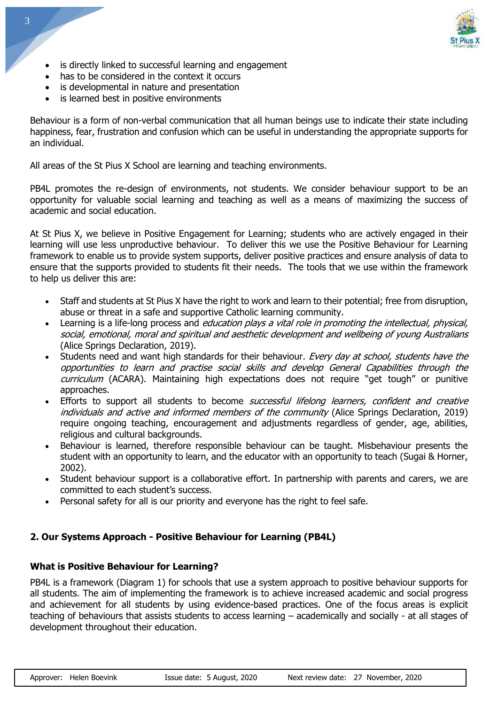

- is directly linked to successful learning and engagement
- has to be considered in the context it occurs
- is developmental in nature and presentation
- is learned best in positive environments

Behaviour is a form of non-verbal communication that all human beings use to indicate their state including happiness, fear, frustration and confusion which can be useful in understanding the appropriate supports for an individual.

All areas of the St Pius X School are learning and teaching environments.

PB4L promotes the re-design of environments, not students. We consider behaviour support to be an opportunity for valuable social learning and teaching as well as a means of maximizing the success of academic and social education.

At St Pius X, we believe in Positive Engagement for Learning; students who are actively engaged in their learning will use less unproductive behaviour. To deliver this we use the Positive Behaviour for Learning framework to enable us to provide system supports, deliver positive practices and ensure analysis of data to ensure that the supports provided to students fit their needs. The tools that we use within the framework to help us deliver this are:

- Staff and students at St Pius X have the right to work and learn to their potential; free from disruption, abuse or threat in a safe and supportive Catholic learning community.
- Learning is a life-long process and *education plays a vital role in promoting the intellectual, physical,* social, emotional, moral and spiritual and aesthetic development and wellbeing of young Australians (Alice Springs Declaration, 2019).
- Students need and want high standards for their behaviour. Every day at school, students have the opportunities to learn and practise social skills and develop General Capabilities through the curriculum (ACARA). Maintaining high expectations does not require "get tough" or punitive approaches.
- Efforts to support all students to become *successful lifelong learners, confident and creative* individuals and active and informed members of the community (Alice Springs Declaration, 2019) require ongoing teaching, encouragement and adjustments regardless of gender, age, abilities, religious and cultural backgrounds.
- Behaviour is learned, therefore responsible behaviour can be taught. Misbehaviour presents the student with an opportunity to learn, and the educator with an opportunity to teach (Sugai & Horner, 2002).
- Student behaviour support is a collaborative effort. In partnership with parents and carers, we are committed to each student's success.
- Personal safety for all is our priority and everyone has the right to feel safe.

#### **2. Our Systems Approach - Positive Behaviour for Learning (PB4L)**

#### **What is Positive Behaviour for Learning?**

PB4L is a framework (Diagram 1) for schools that use a system approach to positive behaviour supports for all students. The aim of implementing the framework is to achieve increased academic and social progress and achievement for all students by using evidence-based practices. One of the focus areas is explicit teaching of behaviours that assists students to access learning – academically and socially - at all stages of development throughout their education.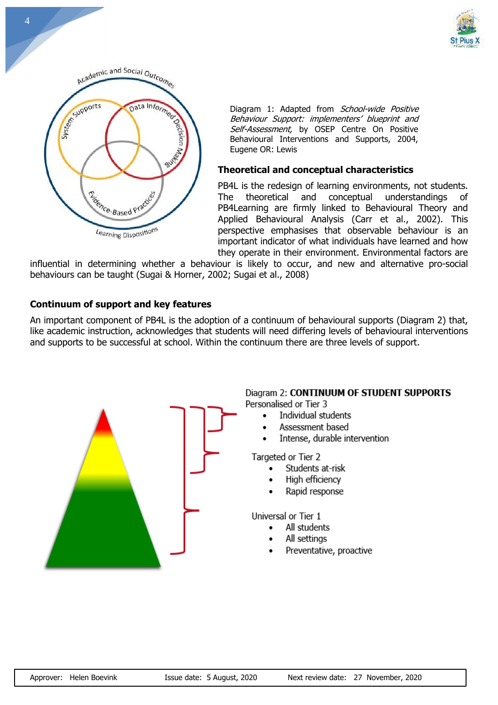



Diagram 1: Adapted from School-wide Positive Behaviour Support: implementers' blueprint and Self-Assessment, by OSEP Centre On Positive Behavioural Interventions and Supports, 2004, Eugene OR: Lewis

#### **Theoretical and conceptual characteristics**

PB4L is the redesign of learning environments, not students. The theoretical and conceptual understandings of PB4Learning are firmly linked to Behavioural Theory and Applied Behavioural Analysis (Carr et al., 2002). This perspective emphasises that observable behaviour is an important indicator of what individuals have learned and how they operate in their environment. Environmental factors are

influential in determining whether a behaviour is likely to occur, and new and alternative pro-social behaviours can be taught (Sugai & Horner, 2002; Sugai et al., 2008)

#### **Continuum of support and key features**

An important component of PB4L is the adoption of a continuum of behavioural supports (Diagram 2) that, like academic instruction, acknowledges that students will need differing levels of behavioural interventions and supports to be successful at school. Within the continuum there are three levels of support.



#### Diagram 2: CONTINUUM OF STUDENT SUPPORTS

Personalised or Tier 3

- Individual students
- Assessment based
- Intense, durable intervention

Targeted or Tier 2

- Students at-risk  $\bullet$
- High efficiency
- Rapid response

Universal or Tier 1

- All students
- All settings
- Preventative, proactive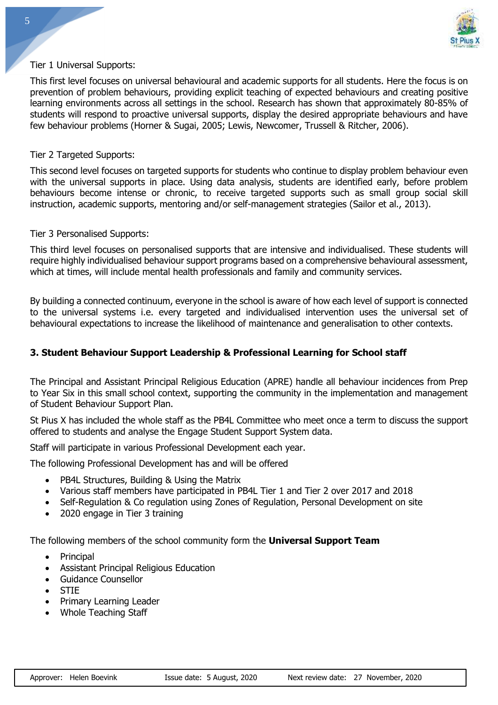

#### Tier 1 Universal Supports:

This first level focuses on universal behavioural and academic supports for all students. Here the focus is on prevention of problem behaviours, providing explicit teaching of expected behaviours and creating positive learning environments across all settings in the school. Research has shown that approximately 80-85% of students will respond to proactive universal supports, display the desired appropriate behaviours and have few behaviour problems (Horner & Sugai, 2005; Lewis, Newcomer, Trussell & Ritcher, 2006).

#### Tier 2 Targeted Supports:

This second level focuses on targeted supports for students who continue to display problem behaviour even with the universal supports in place. Using data analysis, students are identified early, before problem behaviours become intense or chronic, to receive targeted supports such as small group social skill instruction, academic supports, mentoring and/or self-management strategies (Sailor et al., 2013).

#### Tier 3 Personalised Supports:

This third level focuses on personalised supports that are intensive and individualised. These students will require highly individualised behaviour support programs based on a comprehensive behavioural assessment, which at times, will include mental health professionals and family and community services.

By building a connected continuum, everyone in the school is aware of how each level of support is connected to the universal systems i.e. every targeted and individualised intervention uses the universal set of behavioural expectations to increase the likelihood of maintenance and generalisation to other contexts.

#### **3. Student Behaviour Support Leadership & Professional Learning for School staff**

The Principal and Assistant Principal Religious Education (APRE) handle all behaviour incidences from Prep to Year Six in this small school context, supporting the community in the implementation and management of Student Behaviour Support Plan.

St Pius X has included the whole staff as the PB4L Committee who meet once a term to discuss the support offered to students and analyse the Engage Student Support System data.

Staff will participate in various Professional Development each year.

The following Professional Development has and will be offered

- PB4L Structures, Building & Using the Matrix
- Various staff members have participated in PB4L Tier 1 and Tier 2 over 2017 and 2018
- Self-Regulation & Co regulation using Zones of Regulation, Personal Development on site
- 2020 engage in Tier 3 training

The following members of the school community form the **Universal Support Team**

- Principal
- Assistant Principal Religious Education
- Guidance Counsellor
- STIE
- Primary Learning Leader
- Whole Teaching Staff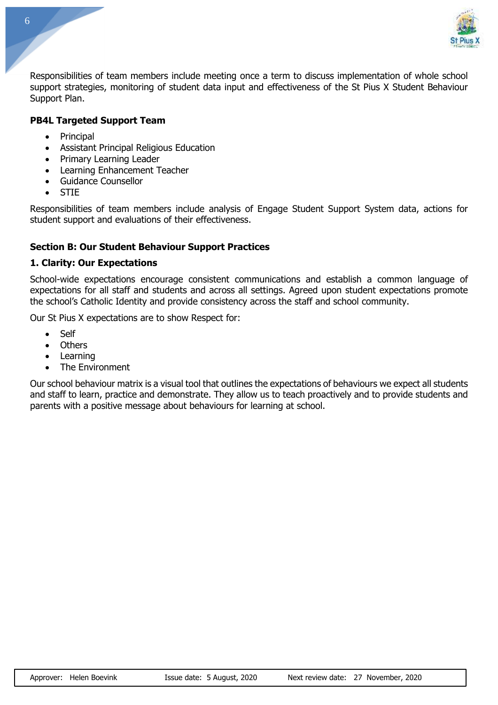

Responsibilities of team members include meeting once a term to discuss implementation of whole school support strategies, monitoring of student data input and effectiveness of the St Pius X Student Behaviour Support Plan.

## **PB4L Targeted Support Team**

- Principal
- Assistant Principal Religious Education
- Primary Learning Leader
- Learning Enhancement Teacher
- Guidance Counsellor
- STIE

Responsibilities of team members include analysis of Engage Student Support System data, actions for student support and evaluations of their effectiveness.

## **Section B: Our Student Behaviour Support Practices**

#### **1. Clarity: Our Expectations**

School-wide expectations encourage consistent communications and establish a common language of expectations for all staff and students and across all settings. Agreed upon student expectations promote the school's Catholic Identity and provide consistency across the staff and school community.

Our St Pius X expectations are to show Respect for:

- **Self**
- Others
- **Learning**
- The Environment

Our school behaviour matrix is a visual tool that outlines the expectations of behaviours we expect all students and staff to learn, practice and demonstrate. They allow us to teach proactively and to provide students and parents with a positive message about behaviours for learning at school.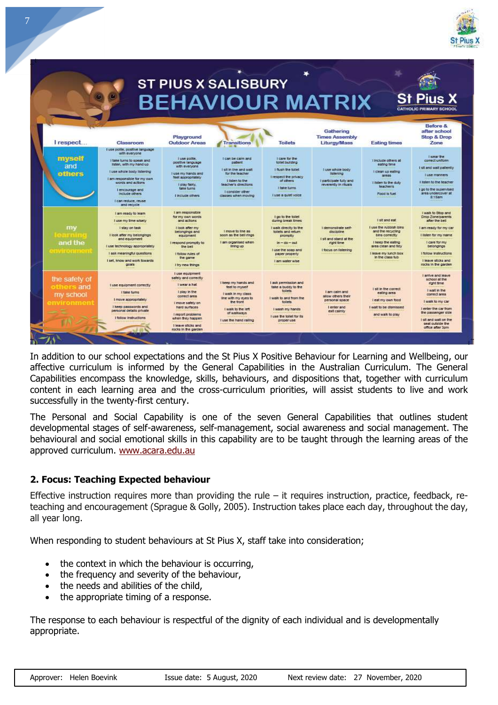

|                                                       |                                                                                                                                                                                                                                                                    |                                                                                                                                                                                                                       | <b>ST PIUS X SALISBURY</b>                                                                                                                                       |                                                                                                                                                                                         | <b>BEHAVIOUR MATRIX</b>                                                                           |                                                                                                                                                                         | <b>St Pius X</b><br><b>CATHOLIC PRIMARY SCHOOL</b>                                                                                                                                                                          |
|-------------------------------------------------------|--------------------------------------------------------------------------------------------------------------------------------------------------------------------------------------------------------------------------------------------------------------------|-----------------------------------------------------------------------------------------------------------------------------------------------------------------------------------------------------------------------|------------------------------------------------------------------------------------------------------------------------------------------------------------------|-----------------------------------------------------------------------------------------------------------------------------------------------------------------------------------------|---------------------------------------------------------------------------------------------------|-------------------------------------------------------------------------------------------------------------------------------------------------------------------------|-----------------------------------------------------------------------------------------------------------------------------------------------------------------------------------------------------------------------------|
| I respect                                             | Classroom                                                                                                                                                                                                                                                          | Playground<br><b>Outdoor Areas</b>                                                                                                                                                                                    | <b>Transitions</b>                                                                                                                                               | <b>Toilets</b>                                                                                                                                                                          | Gathering<br><b>Times Assembly</b><br>Liturgy/Mass                                                | <b>Eating times</b>                                                                                                                                                     | Refore &<br>after school<br><b>Stop &amp; Drop</b><br>Zone                                                                                                                                                                  |
| myself<br>and<br>others                               | I use polite, positive language<br>with everyone<br>I take turns to speak and<br>listen, with my hand up<br>I use whole body listening<br>Lam responsible for my own.<br>words and actions<br>Lencourage and<br>Include others<br>Leas reduce reuse<br>and recycle | I use polte.<br>positive language<br>with everyone<br>I use my hands and<br>feet appropriately<br>I play fairly.<br>take turns<br>I include others                                                                    | Foan be cam and:<br>cattent<br>I sit in the and walt<br>for the teacher<br>Listen In the<br>teacher's directions<br>I consider other<br>classes when moving      | Loans for the<br>tolet building<br>I flush the tollet<br>I respect the privacy<br>of others.<br>I take turns<br>I use a gulet voice                                                     | I use whole body<br><b>Ilstening</b><br>I participate fully and<br>reverently in ribuals.         | l'include others at<br>eating time<br>Holean up eating<br>areas.<br>I listen to the duty.<br>teacher/s<br>Food is fuel                                                  | <b>I wear the</b><br>correct uniform:<br>I sit and walt patiently.<br><b><i><u>i</u></i></b> use manners<br>I listen to the teacher<br>I go to the supervised<br>area undercover at<br>$8 - 15$ am                          |
| my<br>estmin<br>and the<br><b>EXISTENTIAL</b>         | I am ready to learn<br>I use my time wisely<br>I stay on task<br>I look after my belongings<br>and equipment<br>I use technology appropriately<br>I ask meaningful questions<br>I set, know and work towards.<br>coals                                             | I am responsible<br>for my own words<br>and actions<br>I look after my<br>belongings and<br>equipment<br>I respond promoty to<br>the bell<br>I follow rules of<br>the game<br>I try new things                        | I move to line as<br>soon as the bell rings.<br>I am organised when<br>lining up                                                                                 | I go to the tollet<br>during break times<br>I walk directly to the<br>toilets and return.<br>promptly<br>$\ln - \sin - \cot$<br>I use the soap and<br>paper property<br>I am water wise | I demonstrate self-<br>discipline<br>I sit and stand at the<br>right time<br>I focus on listening | I sit and eat<br>I use the rubbish bins.<br>and the recycling<br>bins correctly<br>I keep the eating<br>area clean and tidy<br>I leave my lunch box<br>in the class fub | I walk to Stop and<br>Drop Zone/parents<br>after the bell<br>I am ready for my car<br>I listen for my name.<br>I care for my<br>belongings<br>I follow instructions<br>I leave sticks and<br>rocks in the garden.           |
| the safety of<br>others and<br>my school<br>mvironmen | I use equipment correctly<br>I fake turns<br>I move appropriately<br>I keep passwords and<br>personal details private<br>I follow instructions                                                                                                                     | I use equipment<br>safely and correctly<br>I wear a hat<br>I play in the<br>correct area<br>I move safety on<br>hard surfaces<br>I report problems<br>when they happen.<br>I leave sticks and<br>rocks in the garden. | I keep my hands and<br>feet to myself<br>I walk in my class<br>line with my eyes to<br>the front<br>I walk to the left<br>of walkways.<br>I use the hand railing | I ask permission and<br>take a buddy to the<br>tollets<br>I walk to and from the<br>toilets<br>I wash my hands<br>I use the tollet for its<br>proper use                                | Lam calm and<br>allow others their<br>personal space<br>I enter and<br>exit calmiv                | i sit in the correct<br>eating area<br>i eat my own food<br>I walt to be dismissed<br>and walk to play                                                                  | I arrive and leave<br>school at the<br>right time<br>I wait in the<br>correct area<br>I walk to my car<br>I enter the car from<br>the passenger side<br><b>Falt and walt on the</b><br>seat outside the<br>office after 3pm |

In addition to our school expectations and the St Pius X Positive Behaviour for Learning and Wellbeing, our affective curriculum is informed by the General Capabilities in the Australian Curriculum. The General Capabilities encompass the knowledge, skills, behaviours, and dispositions that, together with curriculum content in each learning area and the cross-curriculum priorities, will assist students to live and work successfully in the twenty-first century.

The Personal and Social Capability is one of the seven General Capabilities that outlines student developmental stages of self-awareness, self-management, social awareness and social management. The behavioural and social emotional skills in this capability are to be taught through the learning areas of the approved curriculum. [www.acara.edu.au](http://www.acara.edu.au/)

# **2. Focus: Teaching Expected behaviour**

Effective instruction requires more than providing the rule – it requires instruction, practice, feedback, reteaching and encouragement (Sprague & Golly, 2005). Instruction takes place each day, throughout the day, all year long.

When responding to student behaviours at St Pius X, staff take into consideration;

- the context in which the behaviour is occurring,
- the frequency and severity of the behaviour,
- the needs and abilities of the child,
- the appropriate timing of a response.

The response to each behaviour is respectful of the dignity of each individual and is developmentally appropriate.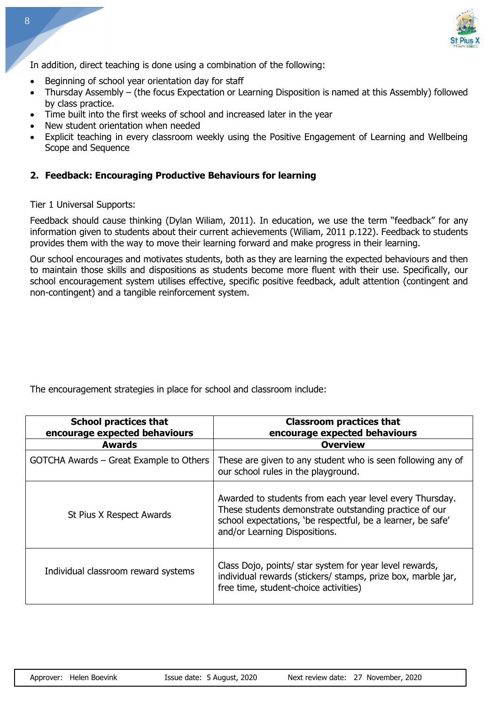

In addition, direct teaching is done using a combination of the following:

- Beginning of school year orientation day for staff
- Thursday Assembly (the focus Expectation or Learning Disposition is named at this Assembly) followed by class practice.
- Time built into the first weeks of school and increased later in the year
- New student orientation when needed
- Explicit teaching in every classroom weekly using the Positive Engagement of Learning and Wellbeing Scope and Sequence

#### **2. Feedback: Encouraging Productive Behaviours for learning**

Tier 1 Universal Supports:

Feedback should cause thinking (Dylan Wiliam, 2011). In education, we use the term "feedback" for any information given to students about their current achievements (Wiliam, 2011 p.122). Feedback to students provides them with the way to move their learning forward and make progress in their learning.

Our school encourages and motivates students, both as they are learning the expected behaviours and then to maintain those skills and dispositions as students become more fluent with their use. Specifically, our school encouragement system utilises effective, specific positive feedback, adult attention (contingent and non-contingent) and a tangible reinforcement system.

The encouragement strategies in place for school and classroom include:

| <b>School practices that</b><br>encourage expected behaviours | <b>Classroom practices that</b><br>encourage expected behaviours                                                                                                                                                   |
|---------------------------------------------------------------|--------------------------------------------------------------------------------------------------------------------------------------------------------------------------------------------------------------------|
| <b>Awards</b>                                                 | <b>Overview</b>                                                                                                                                                                                                    |
| GOTCHA Awards - Great Example to Others                       | These are given to any student who is seen following any of<br>our school rules in the playground.                                                                                                                 |
| St Pius X Respect Awards                                      | Awarded to students from each year level every Thursday.<br>These students demonstrate outstanding practice of our<br>school expectations, 'be respectful, be a learner, be safe'<br>and/or Learning Dispositions. |
| Individual classroom reward systems                           | Class Dojo, points/ star system for year level rewards,<br>individual rewards (stickers/ stamps, prize box, marble jar,<br>free time, student-choice activities)                                                   |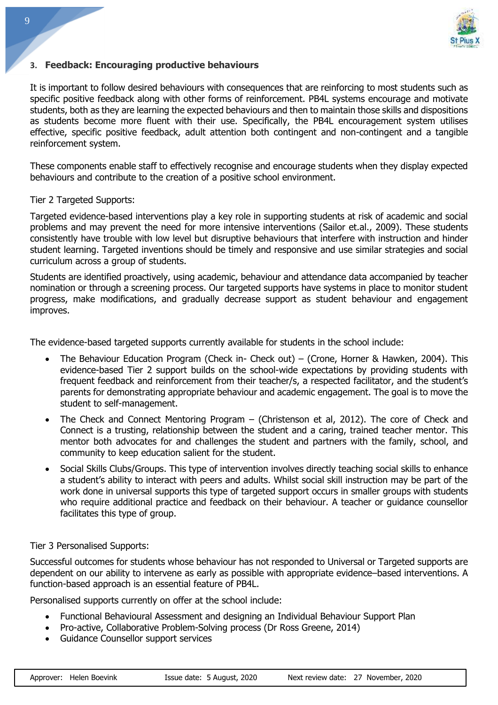

#### **3. Feedback: Encouraging productive behaviours**

It is important to follow desired behaviours with consequences that are reinforcing to most students such as specific positive feedback along with other forms of reinforcement. PB4L systems encourage and motivate students, both as they are learning the expected behaviours and then to maintain those skills and dispositions as students become more fluent with their use. Specifically, the PB4L encouragement system utilises effective, specific positive feedback, adult attention both contingent and non-contingent and a tangible reinforcement system.

These components enable staff to effectively recognise and encourage students when they display expected behaviours and contribute to the creation of a positive school environment.

#### Tier 2 Targeted Supports:

Targeted evidence-based interventions play a key role in supporting students at risk of academic and social problems and may prevent the need for more intensive interventions (Sailor et.al., 2009). These students consistently have trouble with low level but disruptive behaviours that interfere with instruction and hinder student learning. Targeted inventions should be timely and responsive and use similar strategies and social curriculum across a group of students.

Students are identified proactively, using academic, behaviour and attendance data accompanied by teacher nomination or through a screening process. Our targeted supports have systems in place to monitor student progress, make modifications, and gradually decrease support as student behaviour and engagement improves.

The evidence-based targeted supports currently available for students in the school include:

- The Behaviour Education Program (Check in- Check out) (Crone, Horner & Hawken, 2004). This evidence-based Tier 2 support builds on the school-wide expectations by providing students with frequent feedback and reinforcement from their teacher/s, a respected facilitator, and the student's parents for demonstrating appropriate behaviour and academic engagement. The goal is to move the student to self-management.
- The Check and Connect Mentoring Program (Christenson et al, 2012). The core of Check and Connect is a trusting, relationship between the student and a caring, trained teacher mentor. This mentor both advocates for and challenges the student and partners with the family, school, and community to keep education salient for the student.
- Social Skills Clubs/Groups. This type of intervention involves directly teaching social skills to enhance a student's ability to interact with peers and adults. Whilst social skill instruction may be part of the work done in universal supports this type of targeted support occurs in smaller groups with students who require additional practice and feedback on their behaviour. A teacher or guidance counsellor facilitates this type of group.

#### Tier 3 Personalised Supports:

Successful outcomes for students whose behaviour has not responded to Universal or Targeted supports are dependent on our ability to intervene as early as possible with appropriate evidence–based interventions. A function-based approach is an essential feature of PB4L.

Personalised supports currently on offer at the school include:

- Functional Behavioural Assessment and designing an Individual Behaviour Support Plan
- Pro-active, Collaborative Problem-Solving process (Dr Ross Greene, 2014)
- Guidance Counsellor support services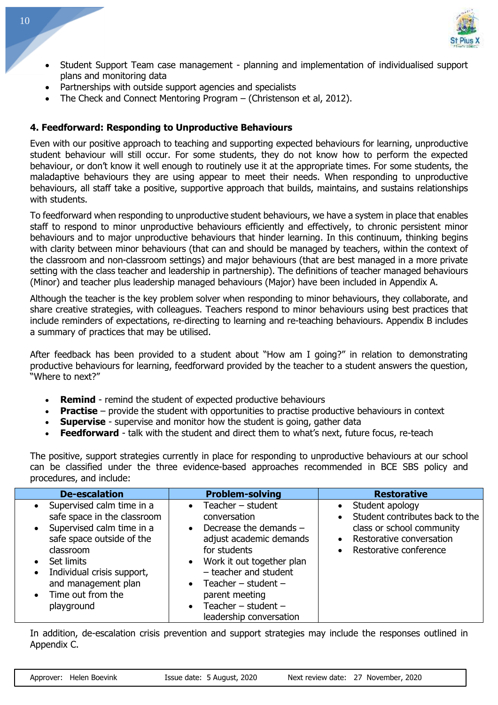

- Student Support Team case management planning and implementation of individualised support plans and monitoring data
- Partnerships with outside support agencies and specialists
- The Check and Connect Mentoring Program (Christenson et al, 2012).

# **4. Feedforward: Responding to Unproductive Behaviours**

Even with our positive approach to teaching and supporting expected behaviours for learning, unproductive student behaviour will still occur. For some students, they do not know how to perform the expected behaviour, or don't know it well enough to routinely use it at the appropriate times. For some students, the maladaptive behaviours they are using appear to meet their needs. When responding to unproductive behaviours, all staff take a positive, supportive approach that builds, maintains, and sustains relationships with students.

To feedforward when responding to unproductive student behaviours, we have a system in place that enables staff to respond to minor unproductive behaviours efficiently and effectively, to chronic persistent minor behaviours and to major unproductive behaviours that hinder learning. In this continuum, thinking begins with clarity between minor behaviours (that can and should be managed by teachers, within the context of the classroom and non-classroom settings) and major behaviours (that are best managed in a more private setting with the class teacher and leadership in partnership). The definitions of teacher managed behaviours (Minor) and teacher plus leadership managed behaviours (Major) have been included in Appendix A.

Although the teacher is the key problem solver when responding to minor behaviours, they collaborate, and share creative strategies, with colleagues. Teachers respond to minor behaviours using best practices that include reminders of expectations, re-directing to learning and re-teaching behaviours. Appendix B includes a summary of practices that may be utilised.

After feedback has been provided to a student about "How am I going?" in relation to demonstrating productive behaviours for learning, feedforward provided by the teacher to a student answers the question, "Where to next?"

- **Remind** remind the student of expected productive behaviours
- **Practise** provide the student with opportunities to practise productive behaviours in context
- **Supervise** supervise and monitor how the student is going, gather data
- **Feedforward** talk with the student and direct them to what's next, future focus, re-teach

The positive, support strategies currently in place for responding to unproductive behaviours at our school can be classified under the three evidence-based approaches recommended in BCE SBS policy and procedures, and include:

| <b>De-escalation</b>                                                                                                                                                                                                                                                                      | <b>Problem-solving</b>                                                                                                                                                                                                                                                                                              | <b>Restorative</b>                                                                                                                                                                        |
|-------------------------------------------------------------------------------------------------------------------------------------------------------------------------------------------------------------------------------------------------------------------------------------------|---------------------------------------------------------------------------------------------------------------------------------------------------------------------------------------------------------------------------------------------------------------------------------------------------------------------|-------------------------------------------------------------------------------------------------------------------------------------------------------------------------------------------|
| Supervised calm time in a<br>safe space in the classroom<br>Supervised calm time in a<br>$\bullet$<br>safe space outside of the<br>classroom<br>Set limits<br>$\bullet$<br>Individual crisis support,<br>$\bullet$<br>and management plan<br>Time out from the<br>$\bullet$<br>playground | Teacher $-$ student<br>$\bullet$<br>conversation<br>Decrease the demands -<br>$\bullet$<br>adjust academic demands<br>for students<br>• Work it out together plan<br>- teacher and student<br>Teacher – student –<br>$\bullet$<br>parent meeting<br>Teacher $-$ student $-$<br>$\bullet$<br>leadership conversation | Student apology<br>$\bullet$<br>Student contributes back to the<br>$\bullet$<br>class or school community<br>Restorative conversation<br>$\bullet$<br>Restorative conference<br>$\bullet$ |

In addition, de-escalation crisis prevention and support strategies may include the responses outlined in Appendix C.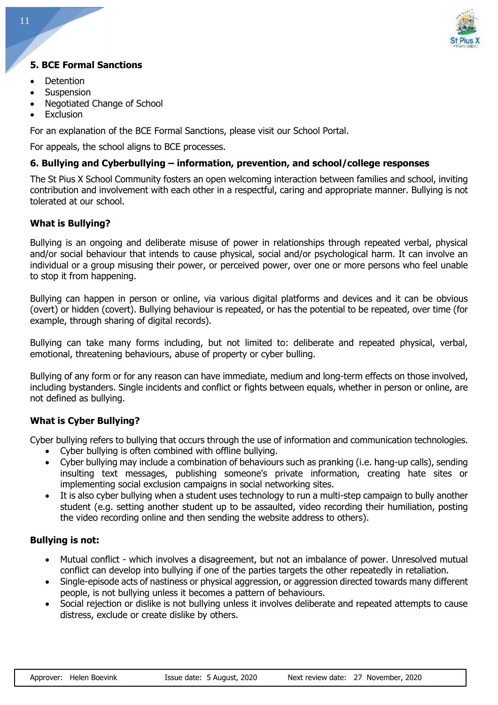

# **5. BCE Formal Sanctions**

- Detention
- **Suspension**
- Negotiated Change of School
- **Exclusion**

For an explanation of the BCE Formal Sanctions, please visit our School Portal.

For appeals, the school aligns to BCE processes.

#### **6. Bullying and Cyberbullying – information, prevention, and school/college responses**

The St Pius X School Community fosters an open welcoming interaction between families and school, inviting contribution and involvement with each other in a respectful, caring and appropriate manner. Bullying is not tolerated at our school.

#### **What is Bullying?**

Bullying is an ongoing and deliberate misuse of power in relationships through repeated verbal, physical and/or social behaviour that intends to cause physical, social and/or psychological harm. It can involve an individual or a group misusing their power, or perceived power, over one or more persons who feel unable to stop it from happening.

Bullying can happen in person or online, via various digital platforms and devices and it can be obvious (overt) or hidden (covert). Bullying behaviour is repeated, or has the potential to be repeated, over time (for example, through sharing of digital records).

Bullying can take many forms including, but not limited to: deliberate and repeated physical, verbal, emotional, threatening behaviours, abuse of property or cyber bulling.

Bullying of any form or for any reason can have immediate, medium and long-term effects on those involved, including bystanders. Single incidents and conflict or fights between equals, whether in person or online, are not defined as bullying.

#### **What is Cyber Bullying?**

Cyber bullying refers to bullying that occurs through the use of information and communication technologies.

- Cyber bullying is often combined with offline bullying.
- Cyber bullying may include a combination of behaviours such as pranking (i.e. hang-up calls), sending insulting text messages, publishing someone's private information, creating hate sites or implementing social exclusion campaigns in social networking sites.
- It is also cyber bullying when a student uses technology to run a multi-step campaign to bully another student (e.g. setting another student up to be assaulted, video recording their humiliation, posting the video recording online and then sending the website address to others).

#### **Bullying is not:**

- Mutual conflict which involves a disagreement, but not an imbalance of power. Unresolved mutual conflict can develop into bullying if one of the parties targets the other repeatedly in retaliation.
- Single-episode acts of nastiness or physical aggression, or aggression directed towards many different people, is not bullying unless it becomes a pattern of behaviours.
- Social rejection or dislike is not bullying unless it involves deliberate and repeated attempts to cause distress, exclude or create dislike by others.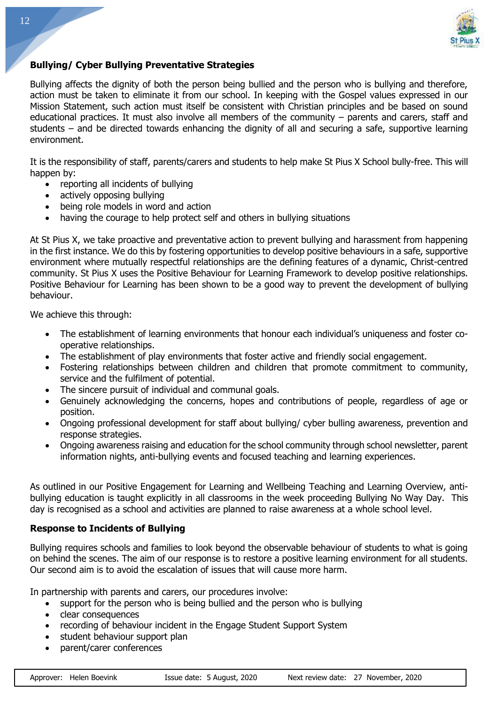

#### **Bullying/ Cyber Bullying Preventative Strategies**

Bullying affects the dignity of both the person being bullied and the person who is bullying and therefore, action must be taken to eliminate it from our school. In keeping with the Gospel values expressed in our Mission Statement, such action must itself be consistent with Christian principles and be based on sound educational practices. It must also involve all members of the community – parents and carers, staff and students – and be directed towards enhancing the dignity of all and securing a safe, supportive learning environment.

It is the responsibility of staff, parents/carers and students to help make St Pius X School bully-free. This will happen by:

- reporting all incidents of bullying
- actively opposing bullying
- being role models in word and action
- having the courage to help protect self and others in bullying situations

At St Pius X, we take proactive and preventative action to prevent bullying and harassment from happening in the first instance. We do this by fostering opportunities to develop positive behaviours in a safe, supportive environment where mutually respectful relationships are the defining features of a dynamic, Christ-centred community. St Pius X uses the Positive Behaviour for Learning Framework to develop positive relationships. Positive Behaviour for Learning has been shown to be a good way to prevent the development of bullying behaviour.

We achieve this through:

- The establishment of learning environments that honour each individual's uniqueness and foster cooperative relationships.
- The establishment of play environments that foster active and friendly social engagement.
- Fostering relationships between children and children that promote commitment to community, service and the fulfilment of potential.
- The sincere pursuit of individual and communal goals.
- Genuinely acknowledging the concerns, hopes and contributions of people, regardless of age or position.
- Ongoing professional development for staff about bullying/ cyber bulling awareness, prevention and response strategies.
- Ongoing awareness raising and education for the school community through school newsletter, parent information nights, anti-bullying events and focused teaching and learning experiences.

As outlined in our Positive Engagement for Learning and Wellbeing Teaching and Learning Overview, antibullying education is taught explicitly in all classrooms in the week proceeding Bullying No Way Day. This day is recognised as a school and activities are planned to raise awareness at a whole school level.

#### **Response to Incidents of Bullying**

Bullying requires schools and families to look beyond the observable behaviour of students to what is going on behind the scenes. The aim of our response is to restore a positive learning environment for all students. Our second aim is to avoid the escalation of issues that will cause more harm.

In partnership with parents and carers, our procedures involve:

- support for the person who is being bullied and the person who is bullying
- clear consequences
- recording of behaviour incident in the Engage Student Support System
- student behaviour support plan
- parent/carer conferences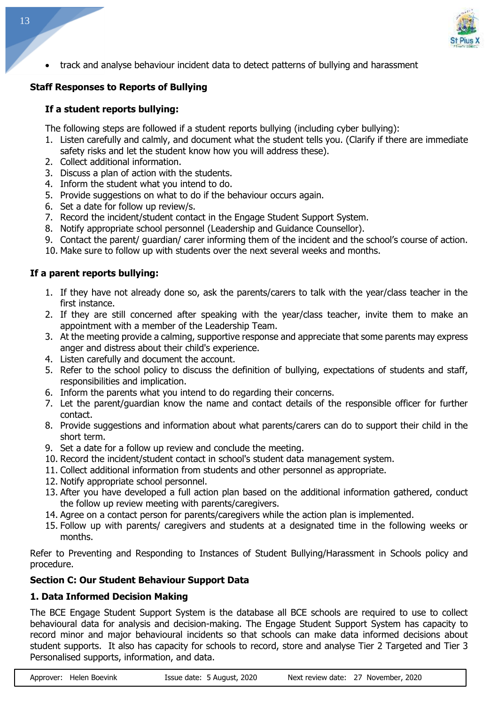

• track and analyse behaviour incident data to detect patterns of bullying and harassment

# **Staff Responses to Reports of Bullying**

# **If a student reports bullying:**

The following steps are followed if a student reports bullying (including cyber bullying):

- 1. Listen carefully and calmly, and document what the student tells you. (Clarify if there are immediate safety risks and let the student know how you will address these).
- 2. Collect additional information.
- 3. Discuss a plan of action with the students.
- 4. Inform the student what you intend to do.
- 5. Provide suggestions on what to do if the behaviour occurs again.
- 6. Set a date for follow up review/s.
- 7. Record the incident/student contact in the Engage Student Support System.
- 8. Notify appropriate school personnel (Leadership and Guidance Counsellor).
- 9. Contact the parent/ guardian/ carer informing them of the incident and the school's course of action.
- 10. Make sure to follow up with students over the next several weeks and months.

# **If a parent reports bullying:**

- 1. If they have not already done so, ask the parents/carers to talk with the year/class teacher in the first instance.
- 2. If they are still concerned after speaking with the year/class teacher, invite them to make an appointment with a member of the Leadership Team.
- 3. At the meeting provide a calming, supportive response and appreciate that some parents may express anger and distress about their child's experience.
- 4. Listen carefully and document the account.
- 5. Refer to the school policy to discuss the definition of bullying, expectations of students and staff, responsibilities and implication.
- 6. Inform the parents what you intend to do regarding their concerns.
- 7. Let the parent/guardian know the name and contact details of the responsible officer for further contact.
- 8. Provide suggestions and information about what parents/carers can do to support their child in the short term.
- 9. Set a date for a follow up review and conclude the meeting.
- 10. Record the incident/student contact in school's student data management system.
- 11. Collect additional information from students and other personnel as appropriate.
- 12. Notify appropriate school personnel.
- 13. After you have developed a full action plan based on the additional information gathered, conduct the follow up review meeting with parents/caregivers.
- 14. Agree on a contact person for parents/caregivers while the action plan is implemented.
- 15. Follow up with parents/ caregivers and students at a designated time in the following weeks or months.

Refer to Preventing and Responding to Instances of Student Bullying/Harassment in Schools policy and procedure.

# **Section C: Our Student Behaviour Support Data**

# **1. Data Informed Decision Making**

The BCE Engage Student Support System is the database all BCE schools are required to use to collect behavioural data for analysis and decision-making. The Engage Student Support System has capacity to record minor and major behavioural incidents so that schools can make data informed decisions about student supports. It also has capacity for schools to record, store and analyse Tier 2 Targeted and Tier 3 Personalised supports, information, and data.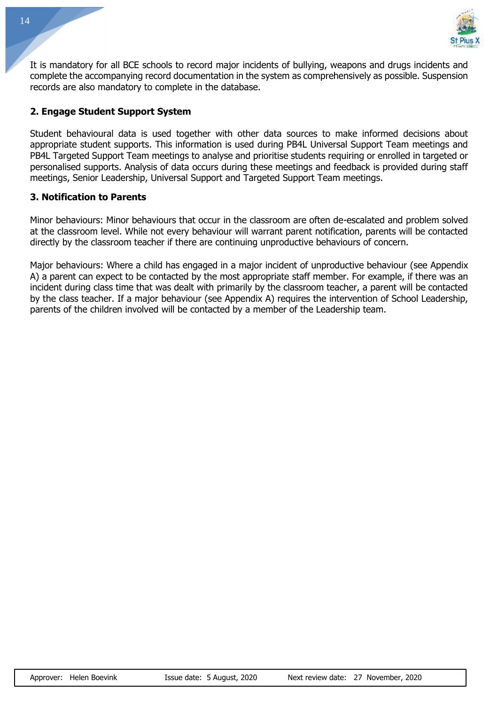

It is mandatory for all BCE schools to record major incidents of bullying, weapons and drugs incidents and complete the accompanying record documentation in the system as comprehensively as possible. Suspension records are also mandatory to complete in the database.

#### **2. Engage Student Support System**

Student behavioural data is used together with other data sources to make informed decisions about appropriate student supports. This information is used during PB4L Universal Support Team meetings and PB4L Targeted Support Team meetings to analyse and prioritise students requiring or enrolled in targeted or personalised supports. Analysis of data occurs during these meetings and feedback is provided during staff meetings, Senior Leadership, Universal Support and Targeted Support Team meetings.

#### **3. Notification to Parents**

Minor behaviours: Minor behaviours that occur in the classroom are often de-escalated and problem solved at the classroom level. While not every behaviour will warrant parent notification, parents will be contacted directly by the classroom teacher if there are continuing unproductive behaviours of concern.

Major behaviours: Where a child has engaged in a major incident of unproductive behaviour (see Appendix A) a parent can expect to be contacted by the most appropriate staff member. For example, if there was an incident during class time that was dealt with primarily by the classroom teacher, a parent will be contacted by the class teacher. If a major behaviour (see Appendix A) requires the intervention of School Leadership, parents of the children involved will be contacted by a member of the Leadership team.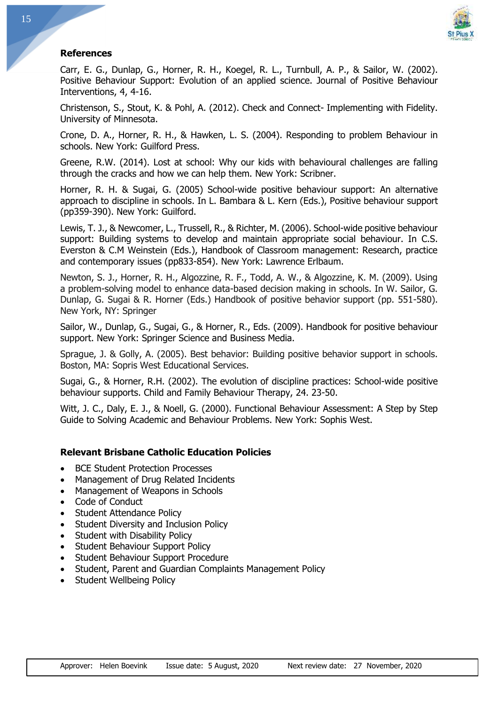

#### **References**

Carr, E. G., Dunlap, G., Horner, R. H., Koegel, R. L., Turnbull, A. P., & Sailor, W. (2002). Positive Behaviour Support: Evolution of an applied science. Journal of Positive Behaviour Interventions, 4, 4-16.

Christenson, S., Stout, K. & Pohl, A. (2012). Check and Connect- Implementing with Fidelity. University of Minnesota.

Crone, D. A., Horner, R. H., & Hawken, L. S. (2004). Responding to problem Behaviour in schools. New York: Guilford Press.

Greene, R.W. (2014). Lost at school: Why our kids with behavioural challenges are falling through the cracks and how we can help them. New York: Scribner.

Horner, R. H. & Sugai, G. (2005) School-wide positive behaviour support: An alternative approach to discipline in schools. In L. Bambara & L. Kern (Eds.), Positive behaviour support (pp359-390). New York: Guilford.

Lewis, T. J., & Newcomer, L., Trussell, R., & Richter, M. (2006). School-wide positive behaviour support: Building systems to develop and maintain appropriate social behaviour. In C.S. Everston & C.M Weinstein (Eds.), Handbook of Classroom management: Research, practice and contemporary issues (pp833-854). New York: Lawrence Erlbaum.

Newton, S. J., Horner, R. H., Algozzine, R. F., Todd, A. W., & Algozzine, K. M. (2009). Using a problem-solving model to enhance data-based decision making in schools. In W. Sailor, G. Dunlap, G. Sugai & R. Horner (Eds.) Handbook of positive behavior support (pp. 551-580). New York, NY: Springer

Sailor, W., Dunlap, G., Sugai, G., & Horner, R., Eds. (2009). Handbook for positive behaviour support. New York: Springer Science and Business Media.

Sprague, J. & Golly, A. (2005). Best behavior: Building positive behavior support in schools. Boston, MA: Sopris West Educational Services.

Sugai, G., & Horner, R.H. (2002). The evolution of discipline practices: School-wide positive behaviour supports. Child and Family Behaviour Therapy, 24. 23-50.

Witt, J. C., Daly, E. J., & Noell, G. (2000). Functional Behaviour Assessment: A Step by Step Guide to Solving Academic and Behaviour Problems. New York: Sophis West.

#### **Relevant Brisbane Catholic Education Policies**

- BCE Student Protection Processes
- Management of Drug Related Incidents
- Management of Weapons in Schools
- Code of Conduct
- Student Attendance Policy
- Student Diversity and Inclusion Policy
- Student with Disability Policy
- Student Behaviour Support Policy
- Student Behaviour Support Procedure
- Student, Parent and Guardian Complaints Management Policy
- Student Wellbeing Policy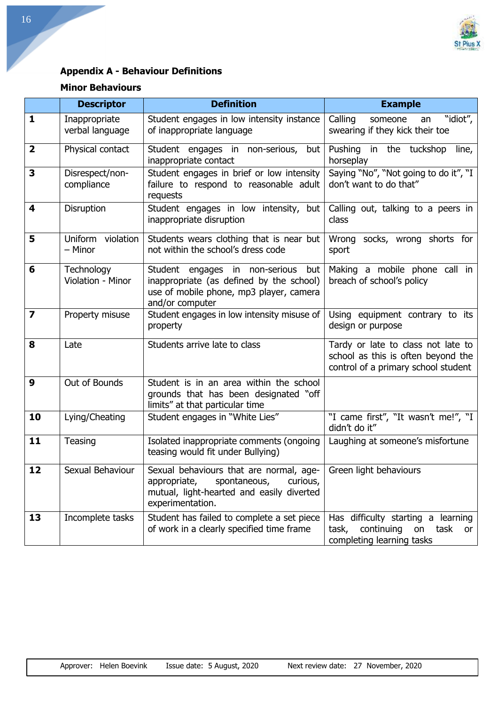

# **Appendix A - Behaviour Definitions**

# **Minor Behaviours**

|                         | <b>Descriptor</b>                | <b>Definition</b>                                                                                                                                                          | <b>Example</b>                                                                                                  |  |
|-------------------------|----------------------------------|----------------------------------------------------------------------------------------------------------------------------------------------------------------------------|-----------------------------------------------------------------------------------------------------------------|--|
| $\mathbf{1}$            | Inappropriate<br>verbal language | Student engages in low intensity instance<br>of inappropriate language                                                                                                     | "idiot",<br>Calling<br>someone<br>an<br>swearing if they kick their toe                                         |  |
| $\overline{\mathbf{2}}$ | Physical contact                 | Student engages in non-serious,<br>but<br>inappropriate contact                                                                                                            | Pushing in the tuckshop<br>line,<br>horseplay                                                                   |  |
| 3                       | Disrespect/non-<br>compliance    | Student engages in brief or low intensity<br>failure to respond to reasonable adult<br>requests                                                                            | Saying "No", "Not going to do it", "I<br>don't want to do that"                                                 |  |
| 4                       | Disruption                       | Student engages in low intensity, but<br>inappropriate disruption                                                                                                          | Calling out, talking to a peers in<br>class                                                                     |  |
| 5                       | Uniform violation<br>- Minor     | Students wears clothing that is near but<br>not within the school's dress code                                                                                             | Wrong socks, wrong shorts for<br>sport                                                                          |  |
| 6                       | Technology<br>Violation - Minor  | Student engages in non-serious<br>but<br>inappropriate (as defined by the school)<br>use of mobile phone, mp3 player, camera<br>and/or computer                            | Making a mobile phone call in<br>breach of school's policy                                                      |  |
| 7                       | Property misuse                  | Student engages in low intensity misuse of<br>property                                                                                                                     | Using equipment contrary to its<br>design or purpose                                                            |  |
| 8                       | Late                             | Students arrive late to class                                                                                                                                              | Tardy or late to class not late to<br>school as this is often beyond the<br>control of a primary school student |  |
| 9                       | Out of Bounds                    | Student is in an area within the school<br>grounds that has been designated "off<br>limits" at that particular time                                                        |                                                                                                                 |  |
| 10                      | Lying/Cheating                   | Student engages in "White Lies"                                                                                                                                            | "I came first", "It wasn't me!", "I<br>didn't do it"                                                            |  |
| 11                      | Teasing                          | Isolated inappropriate comments (ongoing<br>teasing would fit under Bullying)                                                                                              | Laughing at someone's misfortune                                                                                |  |
| 12                      | Sexual Behaviour                 | Sexual behaviours that are normal, age-   Green light behaviours<br>appropriate, spontaneous,<br>curious,<br>mutual, light-hearted and easily diverted<br>experimentation. |                                                                                                                 |  |
| 13                      | Incomplete tasks                 | Student has failed to complete a set piece<br>of work in a clearly specified time frame                                                                                    | Has difficulty starting a learning<br>task,<br>continuing on task<br>or I<br>completing learning tasks          |  |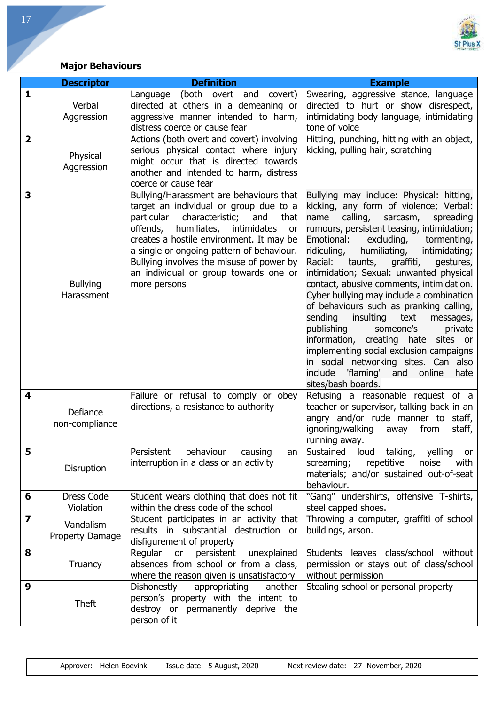

# **Major Behaviours**

|                         | <b>Descriptor</b>                   | <b>Definition</b>                                                                                                                                                                                                                                                                                                                                                               | <b>Example</b>                                                                                                                                                                                                                                                                                                                                                                                                                                                                                                                                                                                                                                                                                                                                                                          |
|-------------------------|-------------------------------------|---------------------------------------------------------------------------------------------------------------------------------------------------------------------------------------------------------------------------------------------------------------------------------------------------------------------------------------------------------------------------------|-----------------------------------------------------------------------------------------------------------------------------------------------------------------------------------------------------------------------------------------------------------------------------------------------------------------------------------------------------------------------------------------------------------------------------------------------------------------------------------------------------------------------------------------------------------------------------------------------------------------------------------------------------------------------------------------------------------------------------------------------------------------------------------------|
| 1                       | Verbal<br>Aggression                | Language (both overt<br>and covert)<br>directed at others in a demeaning or<br>aggressive manner intended to harm,<br>distress coerce or cause fear                                                                                                                                                                                                                             | Swearing, aggressive stance, language<br>directed to hurt or show disrespect,<br>intimidating body language, intimidating<br>tone of voice                                                                                                                                                                                                                                                                                                                                                                                                                                                                                                                                                                                                                                              |
| $\overline{2}$          | Physical<br>Aggression              | Actions (both overt and covert) involving<br>serious physical contact where injury<br>might occur that is directed towards<br>another and intended to harm, distress<br>coerce or cause fear                                                                                                                                                                                    | Hitting, punching, hitting with an object,<br>kicking, pulling hair, scratching                                                                                                                                                                                                                                                                                                                                                                                                                                                                                                                                                                                                                                                                                                         |
| 3                       | <b>Bullying</b><br>Harassment       | Bullying/Harassment are behaviours that<br>target an individual or group due to a<br>particular<br>characteristic;<br>and<br>that<br>offends,<br>humiliates,<br>intimidates<br>or<br>creates a hostile environment. It may be<br>a single or ongoing pattern of behaviour.<br>Bullying involves the misuse of power by<br>an individual or group towards one or<br>more persons | Bullying may include: Physical: hitting,<br>kicking, any form of violence; Verbal:<br>calling,<br>name<br>sarcasm,<br>spreading<br>rumours, persistent teasing, intimidation;<br>Emotional:<br>excluding,<br>tormenting,<br>ridiculing,<br>humiliating,<br>intimidating;<br>Racial:<br>taunts, graffiti,<br>gestures,<br>intimidation; Sexual: unwanted physical<br>contact, abusive comments, intimidation.<br>Cyber bullying may include a combination<br>of behaviours such as pranking calling,<br>insulting<br>sending<br>text<br>messages,<br>publishing<br>someone's<br>private<br>information, creating hate<br>sites or<br>implementing social exclusion campaigns<br>in social networking sites. Can also<br>'flaming'<br>include<br>and online<br>hate<br>sites/bash boards. |
| 4                       | Defiance<br>non-compliance          | Failure or refusal to comply or obey<br>directions, a resistance to authority                                                                                                                                                                                                                                                                                                   | Refusing a reasonable request of a<br>teacher or supervisor, talking back in an<br>angry and/or rude manner to staff,<br>from<br>ignoring/walking<br>staff,<br>away<br>running away.                                                                                                                                                                                                                                                                                                                                                                                                                                                                                                                                                                                                    |
| 5                       | Disruption                          | Persistent<br>behaviour causing<br>an<br>interruption in a class or an activity                                                                                                                                                                                                                                                                                                 | talking,<br>yelling<br>Sustained loud<br>or<br>screaming; repetitive noise<br>with<br>materials; and/or sustained out-of-seat<br>behaviour.                                                                                                                                                                                                                                                                                                                                                                                                                                                                                                                                                                                                                                             |
| 6                       | <b>Dress Code</b><br>Violation      | Student wears clothing that does not fit<br>within the dress code of the school                                                                                                                                                                                                                                                                                                 | "Gang" undershirts, offensive T-shirts,<br>steel capped shoes.                                                                                                                                                                                                                                                                                                                                                                                                                                                                                                                                                                                                                                                                                                                          |
| $\overline{\mathbf{z}}$ | Vandalism<br><b>Property Damage</b> | Student participates in an activity that<br>results in substantial destruction or<br>disfigurement of property                                                                                                                                                                                                                                                                  | Throwing a computer, graffiti of school<br>buildings, arson.                                                                                                                                                                                                                                                                                                                                                                                                                                                                                                                                                                                                                                                                                                                            |
| 8                       | Truancy                             | Regular or persistent unexplained<br>absences from school or from a class,<br>where the reason given is unsatisfactory                                                                                                                                                                                                                                                          | Students leaves class/school without<br>permission or stays out of class/school<br>without permission                                                                                                                                                                                                                                                                                                                                                                                                                                                                                                                                                                                                                                                                                   |
| 9                       | <b>Theft</b>                        | Dishonestly<br>appropriating<br>another<br>person's property with the intent to<br>destroy or permanently deprive the<br>person of it                                                                                                                                                                                                                                           | Stealing school or personal property                                                                                                                                                                                                                                                                                                                                                                                                                                                                                                                                                                                                                                                                                                                                                    |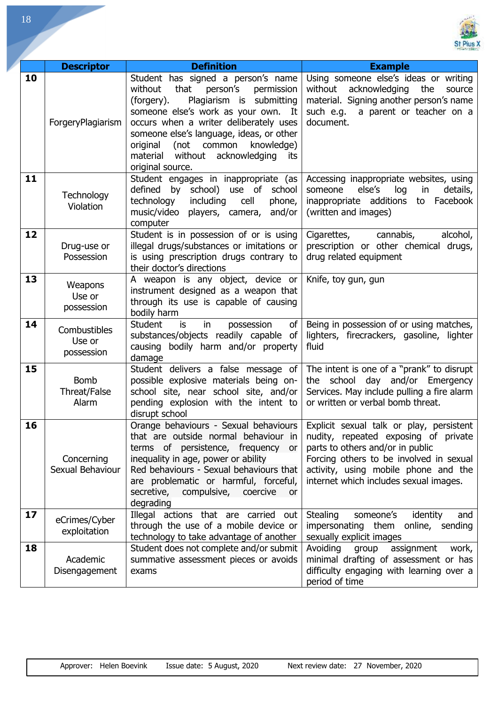

| 18 |                                      |                                                                                                                                                                                                                                                                                                                                                                 |                                                                                                                                                                                                                                                   |
|----|--------------------------------------|-----------------------------------------------------------------------------------------------------------------------------------------------------------------------------------------------------------------------------------------------------------------------------------------------------------------------------------------------------------------|---------------------------------------------------------------------------------------------------------------------------------------------------------------------------------------------------------------------------------------------------|
|    | <b>Descriptor</b>                    | <b>Definition</b>                                                                                                                                                                                                                                                                                                                                               | <b>Example</b>                                                                                                                                                                                                                                    |
| 10 | ForgeryPlagiarism                    | Student has signed a person's name<br>without<br>that<br>person's<br>permission<br>Plagiarism is submitting<br>(forgery).<br>someone else's work as your own. It<br>occurs when a writer deliberately uses<br>someone else's language, ideas, or other<br>(not common<br>knowledge)<br>original<br>without acknowledging<br>material<br>its<br>original source. | Using someone else's ideas or writing<br>without<br>acknowledging<br>the<br>source<br>material. Signing another person's name<br>such e.g.<br>a parent or teacher on a<br>document.                                                               |
| 11 | Technology<br>Violation              | Student engages in inappropriate (as<br>defined<br>by school) use of school<br>technology<br>including<br>cell<br>phone,<br>music/video players, camera,<br>and/or<br>computer                                                                                                                                                                                  | Accessing inappropriate websites, using<br>else's<br>log<br>someone<br>in<br>details,<br>inappropriate additions<br>to Facebook<br>(written and images)                                                                                           |
| 12 | Drug-use or<br>Possession            | Student is in possession of or is using<br>illegal drugs/substances or imitations or<br>is using prescription drugs contrary to<br>their doctor's directions                                                                                                                                                                                                    | Cigarettes,<br>cannabis,<br>alcohol,<br>prescription or other chemical drugs,<br>drug related equipment                                                                                                                                           |
| 13 | Weapons<br>Use or<br>possession      | A weapon is any object, device or<br>instrument designed as a weapon that<br>through its use is capable of causing<br>bodily harm                                                                                                                                                                                                                               | Knife, toy gun, gun                                                                                                                                                                                                                               |
| 14 | Combustibles<br>Use or<br>possession | <b>Student</b><br>in<br>of<br>is<br>possession<br>substances/objects readily capable of<br>causing bodily harm and/or property<br>damage                                                                                                                                                                                                                        | Being in possession of or using matches,<br>lighters, firecrackers, gasoline, lighter<br>fluid                                                                                                                                                    |
| 15 | <b>Bomb</b><br>Threat/False<br>Alarm | Student delivers a false message of<br>possible explosive materials being on-<br>school site, near school site, and/or<br>pending explosion with the intent to<br>disrupt school                                                                                                                                                                                | The intent is one of a "prank" to disrupt<br>the school day and/or Emergency<br>Services. May include pulling a fire alarm<br>or written or verbal bomb threat.                                                                                   |
| 16 | Concerning<br>Sexual Behaviour       | Orange behaviours - Sexual behaviours<br>that are outside normal behaviour in<br>terms of persistence, frequency or<br>inequality in age, power or ability<br>Red behaviours - Sexual behaviours that<br>are problematic or harmful, forceful,<br>secretive, compulsive, coercive<br>or -<br>degrading                                                          | Explicit sexual talk or play, persistent<br>nudity, repeated exposing of private<br>parts to others and/or in public<br>Forcing others to be involved in sexual<br>activity, using mobile phone and the<br>internet which includes sexual images. |
| 17 | eCrimes/Cyber<br>exploitation        | Illegal actions that are carried out<br>through the use of a mobile device or<br>technology to take advantage of another                                                                                                                                                                                                                                        | Stealing<br>someone's<br>identity<br>and<br>impersonating them online, sending<br>sexually explicit images                                                                                                                                        |
| 18 | Academic<br>Disengagement            | Student does not complete and/or submit<br>summative assessment pieces or avoids<br>exams                                                                                                                                                                                                                                                                       | Avoiding<br>group<br>assignment<br>work,<br>minimal drafting of assessment or has<br>difficulty engaging with learning over a<br>period of time                                                                                                   |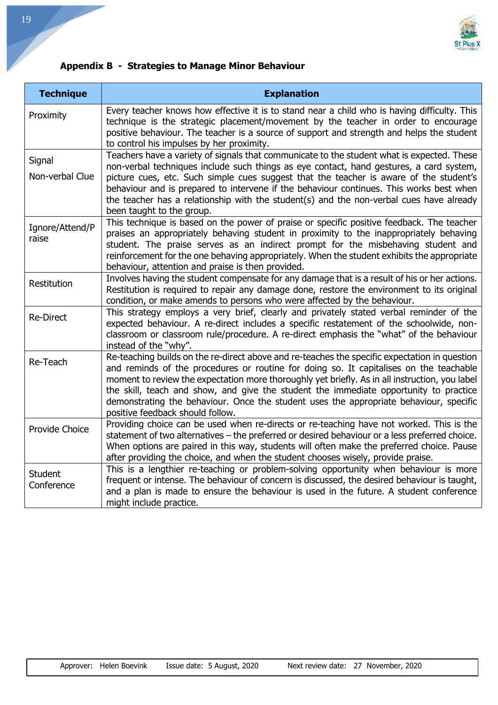

# **Appendix B - Strategies to Manage Minor Behaviour**

| <b>Technique</b>             | <b>Explanation</b>                                                                                                                                                                                                                                                                                                                                                                                                                                                                                               |  |
|------------------------------|------------------------------------------------------------------------------------------------------------------------------------------------------------------------------------------------------------------------------------------------------------------------------------------------------------------------------------------------------------------------------------------------------------------------------------------------------------------------------------------------------------------|--|
| Proximity                    | Every teacher knows how effective it is to stand near a child who is having difficulty. This<br>technique is the strategic placement/movement by the teacher in order to encourage<br>positive behaviour. The teacher is a source of support and strength and helps the student<br>to control his impulses by her proximity.                                                                                                                                                                                     |  |
| Signal<br>Non-verbal Clue    | Teachers have a variety of signals that communicate to the student what is expected. These<br>non-verbal techniques include such things as eye contact, hand gestures, a card system,<br>picture cues, etc. Such simple cues suggest that the teacher is aware of the student's<br>behaviour and is prepared to intervene if the behaviour continues. This works best when<br>the teacher has a relationship with the student(s) and the non-verbal cues have already<br>been taught to the group.               |  |
| Ignore/Attend/P<br>raise     | This technique is based on the power of praise or specific positive feedback. The teacher<br>praises an appropriately behaving student in proximity to the inappropriately behaving<br>student. The praise serves as an indirect prompt for the misbehaving student and<br>reinforcement for the one behaving appropriately. When the student exhibits the appropriate<br>behaviour, attention and praise is then provided.                                                                                      |  |
| Restitution                  | Involves having the student compensate for any damage that is a result of his or her actions.<br>Restitution is required to repair any damage done, restore the environment to its original<br>condition, or make amends to persons who were affected by the behaviour.                                                                                                                                                                                                                                          |  |
| <b>Re-Direct</b>             | This strategy employs a very brief, clearly and privately stated verbal reminder of the<br>expected behaviour. A re-direct includes a specific restatement of the schoolwide, non-<br>classroom or classroom rule/procedure. A re-direct emphasis the "what" of the behaviour<br>instead of the "why".                                                                                                                                                                                                           |  |
| Re-Teach                     | Re-teaching builds on the re-direct above and re-teaches the specific expectation in question<br>and reminds of the procedures or routine for doing so. It capitalises on the teachable<br>moment to review the expectation more thoroughly yet briefly. As in all instruction, you label<br>the skill, teach and show, and give the student the immediate opportunity to practice<br>demonstrating the behaviour. Once the student uses the appropriate behaviour, specific<br>positive feedback should follow. |  |
| Provide Choice               | Providing choice can be used when re-directs or re-teaching have not worked. This is the<br>statement of two alternatives - the preferred or desired behaviour or a less preferred choice.<br>When options are paired in this way, students will often make the preferred choice. Pause<br>after providing the choice, and when the student chooses wisely, provide praise.                                                                                                                                      |  |
| <b>Student</b><br>Conference | This is a lengthier re-teaching or problem-solving opportunity when behaviour is more<br>frequent or intense. The behaviour of concern is discussed, the desired behaviour is taught,<br>and a plan is made to ensure the behaviour is used in the future. A student conference<br>might include practice.                                                                                                                                                                                                       |  |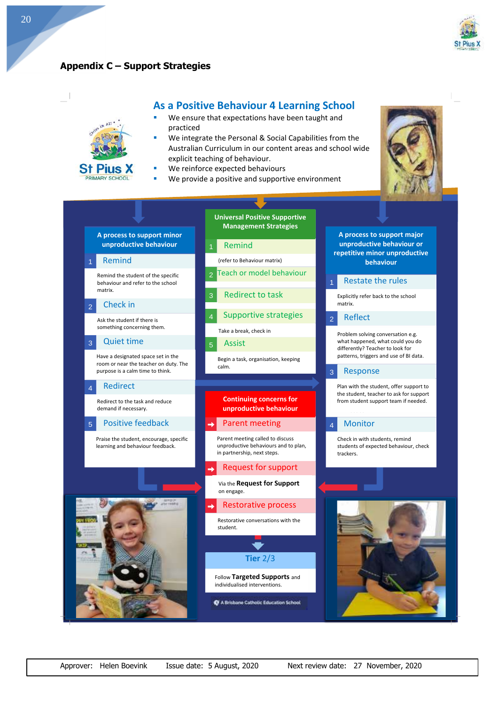

### **Appendix C – Support Strategies**

 $k$ <sub>11</sub>

**St Pius X** PRIMARY SCHOOL



#### **As a Positive Behaviour 4 Learning School**

- **Assume that the extra set of the set of the set of the set of the set of the set of the set of the set of the set of the set of the set of the set of the set of the set of the set of the set of the set of the set of the s** We ensure that expectations have been taught and practiced
- We integrate the Personal & Social Capabilities from the Australian Curriculum in our content areas and school wide explicit teaching of behaviour.
- We reinforce expected behaviours
- We provide a positive and supportive environment





20

Approver: Helen Boevink Issue date: 5 August, 2020 Next review date: 27 November, 2020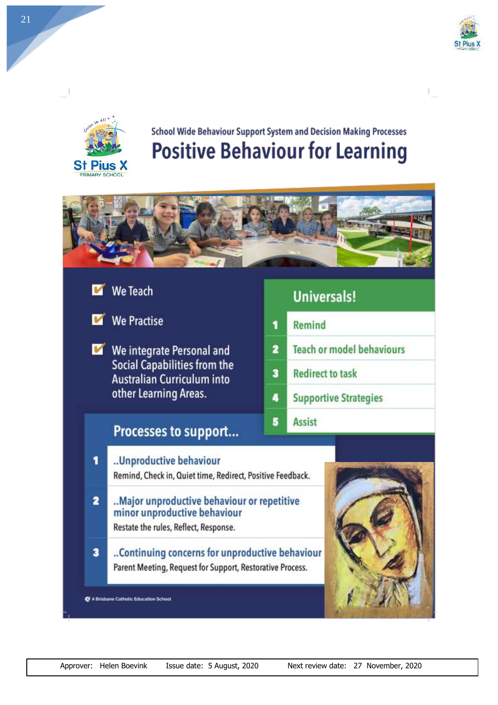



# School Wide Behaviour Support System and Decision Making Processes **Positive Behaviour for Learning**

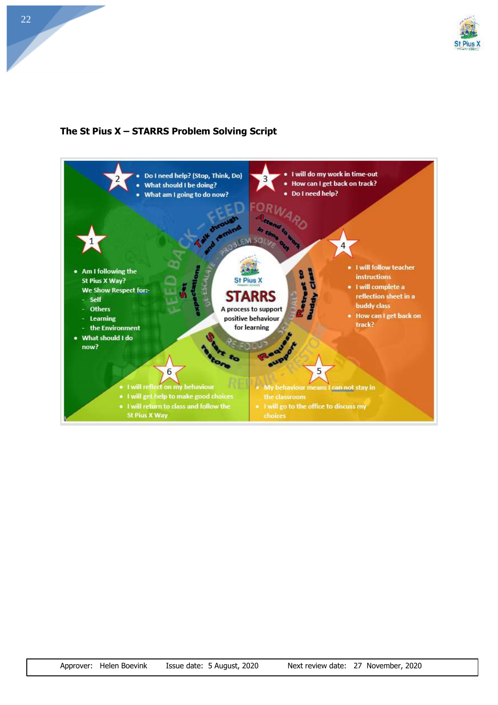

# **The St Pius X – STARRS Problem Solving Script**